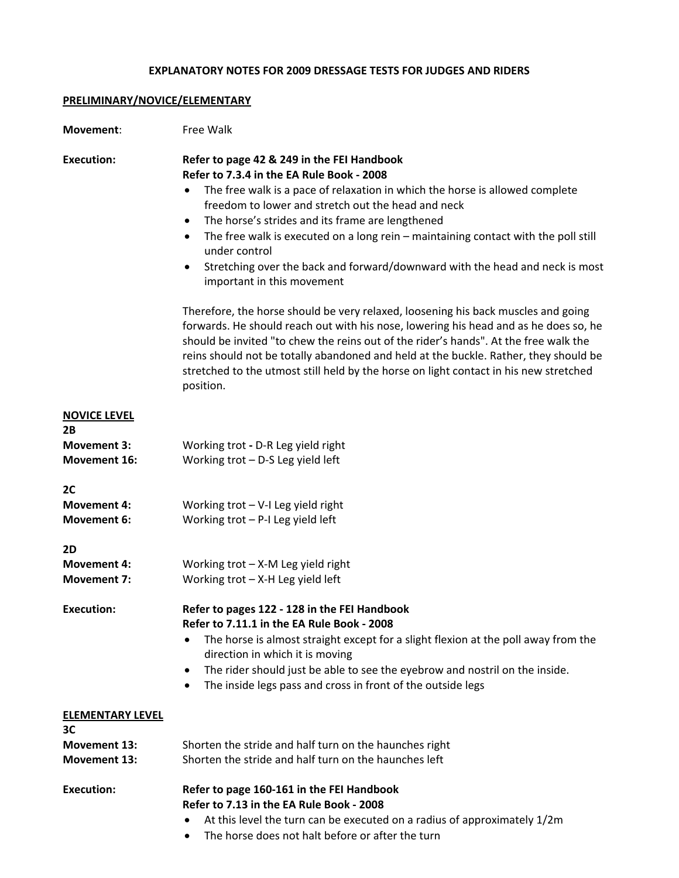## **EXPLANATORY NOTES FOR 2009 DRESSAGE TESTS FOR JUDGES AND RIDERS**

## **PRELIMINARY/NOVICE/ELEMENTARY**

| Movement:                                 | Free Walk                                                                                                                                                                                                                                                                                                                                                                                                                                                                                                                  |
|-------------------------------------------|----------------------------------------------------------------------------------------------------------------------------------------------------------------------------------------------------------------------------------------------------------------------------------------------------------------------------------------------------------------------------------------------------------------------------------------------------------------------------------------------------------------------------|
| <b>Execution:</b>                         | Refer to page 42 & 249 in the FEI Handbook<br>Refer to 7.3.4 in the EA Rule Book - 2008<br>The free walk is a pace of relaxation in which the horse is allowed complete<br>freedom to lower and stretch out the head and neck<br>The horse's strides and its frame are lengthened<br>The free walk is executed on a long rein $-$ maintaining contact with the poll still<br>$\bullet$<br>under control<br>Stretching over the back and forward/downward with the head and neck is most<br>٠<br>important in this movement |
|                                           | Therefore, the horse should be very relaxed, loosening his back muscles and going<br>forwards. He should reach out with his nose, lowering his head and as he does so, he<br>should be invited "to chew the reins out of the rider's hands". At the free walk the<br>reins should not be totally abandoned and held at the buckle. Rather, they should be<br>stretched to the utmost still held by the horse on light contact in his new stretched<br>position.                                                            |
| <b>NOVICE LEVEL</b>                       |                                                                                                                                                                                                                                                                                                                                                                                                                                                                                                                            |
| 2B                                        |                                                                                                                                                                                                                                                                                                                                                                                                                                                                                                                            |
| <b>Movement 3:</b><br><b>Movement 16:</b> | Working trot - D-R Leg yield right<br>Working trot - D-S Leg yield left                                                                                                                                                                                                                                                                                                                                                                                                                                                    |
| 2C                                        |                                                                                                                                                                                                                                                                                                                                                                                                                                                                                                                            |
| <b>Movement 4:</b>                        | Working $\text{trot} - \text{V-I}$ Leg yield right                                                                                                                                                                                                                                                                                                                                                                                                                                                                         |
| <b>Movement 6:</b>                        | Working $trot - P-I$ Leg yield left                                                                                                                                                                                                                                                                                                                                                                                                                                                                                        |
| 2D                                        |                                                                                                                                                                                                                                                                                                                                                                                                                                                                                                                            |
| <b>Movement 4:</b>                        | Working $\text{trot} - X$ -M Leg yield right                                                                                                                                                                                                                                                                                                                                                                                                                                                                               |
| <b>Movement 7:</b>                        | Working $trot - X-H$ Leg yield left                                                                                                                                                                                                                                                                                                                                                                                                                                                                                        |
| <b>Execution:</b>                         | Refer to pages 122 - 128 in the FEI Handbook<br>Refer to 7.11.1 in the EA Rule Book - 2008                                                                                                                                                                                                                                                                                                                                                                                                                                 |
|                                           | The horse is almost straight except for a slight flexion at the poll away from the                                                                                                                                                                                                                                                                                                                                                                                                                                         |
|                                           | direction in which it is moving                                                                                                                                                                                                                                                                                                                                                                                                                                                                                            |
|                                           | The rider should just be able to see the eyebrow and nostril on the inside.<br>٠                                                                                                                                                                                                                                                                                                                                                                                                                                           |
|                                           | The inside legs pass and cross in front of the outside legs<br>٠                                                                                                                                                                                                                                                                                                                                                                                                                                                           |
| <b>ELEMENTARY LEVEL</b><br>3C             |                                                                                                                                                                                                                                                                                                                                                                                                                                                                                                                            |
| <b>Movement 13:</b>                       | Shorten the stride and half turn on the haunches right                                                                                                                                                                                                                                                                                                                                                                                                                                                                     |
| <b>Movement 13:</b>                       | Shorten the stride and half turn on the haunches left                                                                                                                                                                                                                                                                                                                                                                                                                                                                      |
| <b>Execution:</b>                         | Refer to page 160-161 in the FEI Handbook<br>Refer to 7.13 in the EA Rule Book - 2008                                                                                                                                                                                                                                                                                                                                                                                                                                      |
|                                           | At this level the turn can be executed on a radius of approximately 1/2m                                                                                                                                                                                                                                                                                                                                                                                                                                                   |
|                                           | The horse does not halt before or after the turn<br>٠                                                                                                                                                                                                                                                                                                                                                                                                                                                                      |